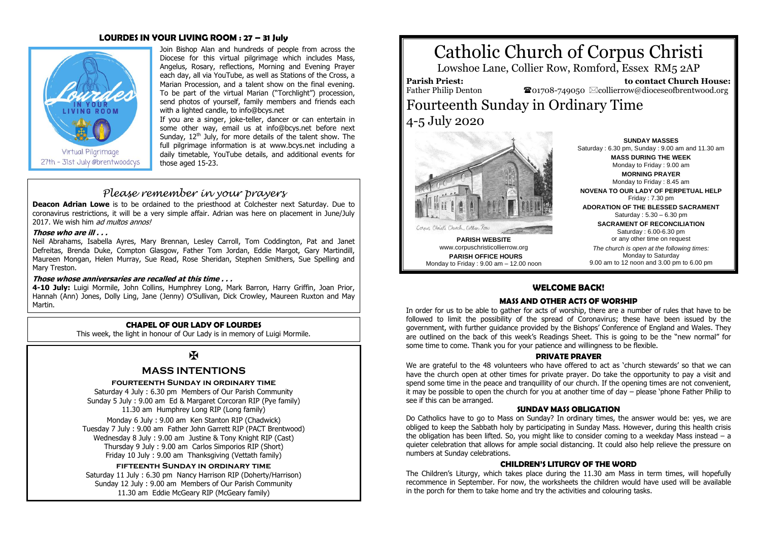### **LOURDES IN YOUR LIVING ROOM : 27 – 31 July**



Join Bishop Alan and hundreds of people from across the Diocese for this virtual pilgrimage which includes Mass, Angelus, Rosary, reflections, Morning and Evening Prayer each day, all via YouTube, as well as Stations of the Cross, a Marian Procession, and a talent show on the final evening. To be part of the virtual Marian ("Torchlight") procession, send photos of yourself, family members and friends each with a lighted candle, t[o info@bcys.net](mailto:info@bcys.net) 

If you are a singer, joke-teller, dancer or can entertain in some other way, email us at info@bcys.net before next Sunday,  $12<sup>th</sup>$  July, for more details of the talent show. The full pilgrimage information is at www.bcys.net including a daily timetable, YouTube details, and additional events for those aged 15-23.

### *Please remember in your prayers*

**Deacon Adrian Lowe** is to be ordained to the priesthood at Colchester next Saturday. Due to coronavirus restrictions, it will be a very simple affair. Adrian was here on placement in June/July 2017. We wish him *ad multos annos!* 

### **Those who are ill . . .**

Neil Abrahams, Isabella Ayres, Mary Brennan, Lesley Carroll, Tom Coddington, Pat and Janet Defreitas, Brenda Duke, Compton Glasgow, Father Tom Jordan, Eddie Margot, Gary Martindill, Maureen Mongan, Helen Murray, Sue Read, Rose Sheridan, Stephen Smithers, Sue Spelling and Mary Treston.

### **Those whose anniversaries are recalled at this time . . .**

**4-10 July:** Luigi Mormile, John Collins, Humphrey Long, Mark Barron, Harry Griffin, Joan Prior, Hannah (Ann) Jones, Dolly Ling, Jane (Jenny) O'Sullivan, Dick Crowley, Maureen Ruxton and May Martin.

### **CHAPEL OF OUR LADY OF LOURDES**

This week, the light in honour of Our Lady is in memory of Luigi Mormile.

## Ж

### **MASS INTENTIONS**

### **fourteenth Sunday in ordinary time**

Saturday 4 July : 6.30 pm Members of Our Parish Community Sunday 5 July : 9.00 am Ed & Margaret Corcoran RIP (Pye family) 11.30 am Humphrey Long RIP (Long family)

Monday 6 July : 9.00 am Ken Stanton RIP (Chadwick) Tuesday 7 July : 9.00 am Father John Garrett RIP (PACT Brentwood) Wednesday 8 July : 9.00 am Justine & Tony Knight RIP (Cast) Thursday 9 July : 9.00 am Carlos Simporios RIP (Short) Friday 10 July : 9.00 am Thanksgiving (Vettath family)

### **fifteenth Sunday in ordinary time**

Saturday 11 July : 6.30 pm Nancy Harrison RIP (Doherty/Harrison) Sunday 12 July : 9.00 am Members of Our Parish Community 11.30 am Eddie McGeary RIP (McGeary family)

# Catholic Church of Corpus Christi

Lowshoe Lane, Collier Row, Romford, Essex RM5 2AP

**Parish Priest:** Father Philip Denton

 **to contact Church House:**  $\bullet$ 01708-749050  $\boxtimes$ collierrow@dioceseofbrentwood.org

# Fourteenth Sunday in Ordinary Time 4-5 July 2020



**PARISH WEBSITE** www.corpuschristicollierrow.org **PARISH OFFICE HOURS** Monday to Friday : 9.00 am – 12.00 noon

**SUNDAY MASSES** Saturday : 6.30 pm, Sunday : 9.00 am and 11.30 am **MASS DURING THE WEEK** Monday to Friday : 9.00 am

**MORNING PRAYER** Monday to Friday : 8.45 am

**NOVENA TO OUR LADY OF PERPETUAL HELP** Friday : 7.30 pm

**ADORATION OF THE BLESSED SACRAMENT** Saturday : 5.30 – 6.30 pm

> **SACRAMENT OF RECONCILIATION** Saturday : 6.00-6.30 pm or any other time on request

*The church is open at the following times:* Monday to Saturday 9.00 am to 12 noon and 3.00 pm to 6.00 pm

### **WELCOME BACK!**

### **MASS AND OTHER ACTS OF WORSHIP**

In order for us to be able to gather for acts of worship, there are a number of rules that have to be followed to limit the possibility of the spread of Coronavirus; these have been issued by the government, with further guidance provided by the Bishops' Conference of England and Wales. They are outlined on the back of this week's Readings Sheet. This is going to be the "new normal" for some time to come. Thank you for your patience and willingness to be flexible.

### **PRIVATE PRAYER**

We are grateful to the 48 volunteers who have offered to act as 'church stewards' so that we can have the church open at other times for private prayer. Do take the opportunity to pay a visit and spend some time in the peace and tranquillity of our church. If the opening times are not convenient, it may be possible to open the church for you at another time of day – please 'phone Father Philip to see if this can be arranged.

### **SUNDAY MASS OBLIGATION**

Do Catholics have to go to Mass on Sunday? In ordinary times, the answer would be: yes, we are obliged to keep the Sabbath holy by participating in Sunday Mass. However, during this health crisis the obligation has been lifted. So, you might like to consider coming to a weekday Mass instead – a quieter celebration that allows for ample social distancing. It could also help relieve the pressure on numbers at Sunday celebrations.

### **CHILDREN'S LITURGY OF THE WORD**

The Children's Liturgy, which takes place during the 11.30 am Mass in term times, will hopefully recommence in September. For now, the worksheets the children would have used will be available in the porch for them to take home and try the activities and colouring tasks.